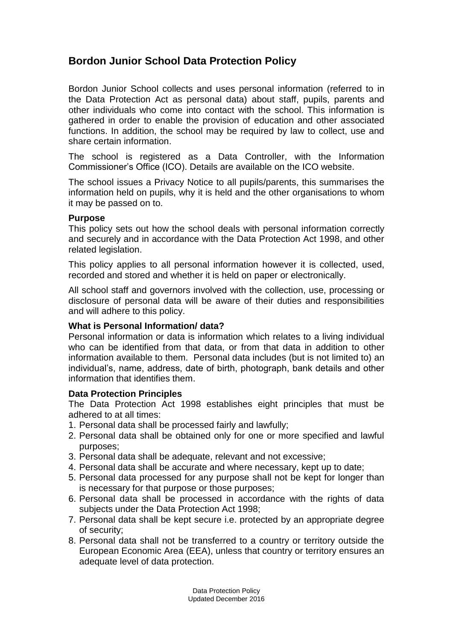# **Bordon Junior School Data Protection Policy**

Bordon Junior School collects and uses personal information (referred to in the Data Protection Act as personal data) about staff, pupils, parents and other individuals who come into contact with the school. This information is gathered in order to enable the provision of education and other associated functions. In addition, the school may be required by law to collect, use and share certain information.

The school is registered as a Data Controller, with the Information Commissioner's Office (ICO). Details are available on the ICO website.

The school issues a Privacy Notice to all pupils/parents, this summarises the information held on pupils, why it is held and the other organisations to whom it may be passed on to.

### **Purpose**

This policy sets out how the school deals with personal information correctly and securely and in accordance with the Data Protection Act 1998, and other related legislation.

This policy applies to all personal information however it is collected, used, recorded and stored and whether it is held on paper or electronically.

All school staff and governors involved with the collection, use, processing or disclosure of personal data will be aware of their duties and responsibilities and will adhere to this policy.

### **What is Personal Information/ data?**

Personal information or data is information which relates to a living individual who can be identified from that data, or from that data in addition to other information available to them. Personal data includes (but is not limited to) an individual's, name, address, date of birth, photograph, bank details and other information that identifies them.

### **Data Protection Principles**

The Data Protection Act 1998 establishes eight principles that must be adhered to at all times:

- 1. Personal data shall be processed fairly and lawfully;
- 2. Personal data shall be obtained only for one or more specified and lawful purposes;
- 3. Personal data shall be adequate, relevant and not excessive;
- 4. Personal data shall be accurate and where necessary, kept up to date;
- 5. Personal data processed for any purpose shall not be kept for longer than is necessary for that purpose or those purposes;
- 6. Personal data shall be processed in accordance with the rights of data subjects under the Data Protection Act 1998;
- 7. Personal data shall be kept secure i.e. protected by an appropriate degree of security;
- 8. Personal data shall not be transferred to a country or territory outside the European Economic Area (EEA), unless that country or territory ensures an adequate level of data protection.